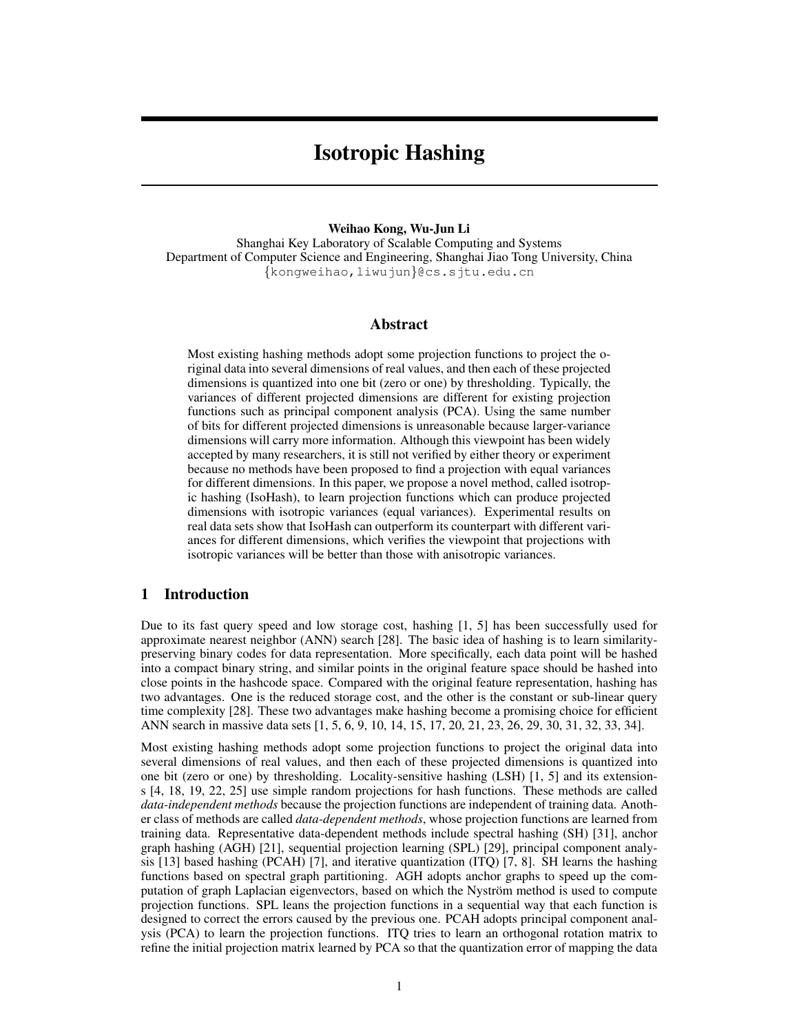# Isotropic Hashing

#### Weihao Kong, Wu-Jun Li

Shanghai Key Laboratory of Scalable Computing and Systems Department of Computer Science and Engineering, Shanghai Jiao Tong University, China {kongweihao,liwujun}@cs.sjtu.edu.cn

#### Abstract

Most existing hashing methods adopt some projection functions to project the original data into several dimensions of real values, and then each of these projected dimensions is quantized into one bit (zero or one) by thresholding. Typically, the variances of different projected dimensions are different for existing projection functions such as principal component analysis (PCA). Using the same number of bits for different projected dimensions is unreasonable because larger-variance dimensions will carry more information. Although this viewpoint has been widely accepted by many researchers, it is still not verified by either theory or experiment because no methods have been proposed to find a projection with equal variances for different dimensions. In this paper, we propose a novel method, called isotropic hashing (IsoHash), to learn projection functions which can produce projected dimensions with isotropic variances (equal variances). Experimental results on real data sets show that IsoHash can outperform its counterpart with different variances for different dimensions, which verifies the viewpoint that projections with isotropic variances will be better than those with anisotropic variances.

## 1 Introduction

Due to its fast query speed and low storage cost, hashing [1, 5] has been successfully used for approximate nearest neighbor (ANN) search [28]. The basic idea of hashing is to learn similaritypreserving binary codes for data representation. More specifically, each data point will be hashed into a compact binary string, and similar points in the original feature space should be hashed into close points in the hashcode space. Compared with the original feature representation, hashing has two advantages. One is the reduced storage cost, and the other is the constant or sub-linear query time complexity [28]. These two advantages make hashing become a promising choice for efficient ANN search in massive data sets [1, 5, 6, 9, 10, 14, 15, 17, 20, 21, 23, 26, 29, 30, 31, 32, 33, 34].

Most existing hashing methods adopt some projection functions to project the original data into several dimensions of real values, and then each of these projected dimensions is quantized into one bit (zero or one) by thresholding. Locality-sensitive hashing (LSH) [1, 5] and its extensions [4, 18, 19, 22, 25] use simple random projections for hash functions. These methods are called *data-independent methods* because the projection functions are independent of training data. Another class of methods are called *data-dependent methods*, whose projection functions are learned from training data. Representative data-dependent methods include spectral hashing (SH) [31], anchor graph hashing (AGH) [21], sequential projection learning (SPL) [29], principal component analysis [13] based hashing (PCAH) [7], and iterative quantization (ITQ) [7, 8]. SH learns the hashing functions based on spectral graph partitioning. AGH adopts anchor graphs to speed up the computation of graph Laplacian eigenvectors, based on which the Nyström method is used to compute projection functions. SPL leans the projection functions in a sequential way that each function is designed to correct the errors caused by the previous one. PCAH adopts principal component analysis (PCA) to learn the projection functions. ITQ tries to learn an orthogonal rotation matrix to refine the initial projection matrix learned by PCA so that the quantization error of mapping the data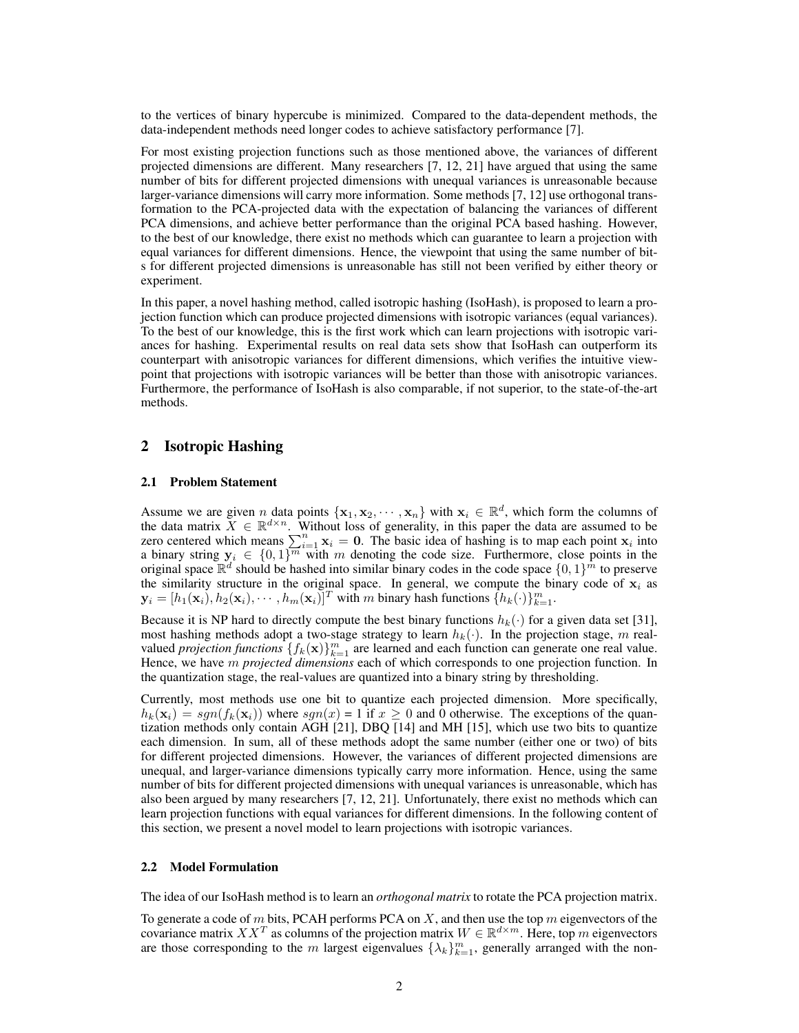to the vertices of binary hypercube is minimized. Compared to the data-dependent methods, the data-independent methods need longer codes to achieve satisfactory performance [7].

For most existing projection functions such as those mentioned above, the variances of different projected dimensions are different. Many researchers [7, 12, 21] have argued that using the same number of bits for different projected dimensions with unequal variances is unreasonable because larger-variance dimensions will carry more information. Some methods [7, 12] use orthogonal transformation to the PCA-projected data with the expectation of balancing the variances of different PCA dimensions, and achieve better performance than the original PCA based hashing. However, to the best of our knowledge, there exist no methods which can guarantee to learn a projection with equal variances for different dimensions. Hence, the viewpoint that using the same number of bits for different projected dimensions is unreasonable has still not been verified by either theory or experiment.

In this paper, a novel hashing method, called isotropic hashing (IsoHash), is proposed to learn a projection function which can produce projected dimensions with isotropic variances (equal variances). To the best of our knowledge, this is the first work which can learn projections with isotropic variances for hashing. Experimental results on real data sets show that IsoHash can outperform its counterpart with anisotropic variances for different dimensions, which verifies the intuitive viewpoint that projections with isotropic variances will be better than those with anisotropic variances. Furthermore, the performance of IsoHash is also comparable, if not superior, to the state-of-the-art methods.

### 2 Isotropic Hashing

#### 2.1 Problem Statement

Assume we are given *n* data points  $\{x_1, x_2, \dots, x_n\}$  with  $x_i \in \mathbb{R}^d$ , which form the columns of the data matrix  $\tilde{X} \in \mathbb{R}^{d \times n}$ . Without loss of generality, in this paper the data are assumed to be zero centered which means  $\sum_{i=1}^{n} x_i = 0$ . The basic idea of hashing is to map each point  $x_i$  into a binary string  $y_i \in \{0,1\}^m$  with m denoting the code size. Furthermore, close points in the original space  $\mathbb{R}^d$  should be hashed into similar binary codes in the code space  $\{0,1\}^m$  to preserve the similarity structure in the original space. In general, we compute the binary code of  $x_i$  as  $\mathbf{y}_i = [h_1(\mathbf{x}_i), h_2(\mathbf{x}_i), \cdots, h_m(\mathbf{x}_i)]^T$  with m binary hash functions  $\{h_k(\cdot)\}_{k=1}^m$ .

Because it is NP hard to directly compute the best binary functions  $h_k(\cdot)$  for a given data set [31], most hashing methods adopt a two-stage strategy to learn  $h_k(\cdot)$ . In the projection stage, m realvalued *projection functions*  $\{f_k(\mathbf{x})\}_{k=1}^m$  are learned and each function can generate one real value. Hence, we have m *projected dimensions* each of which corresponds to one projection function. In the quantization stage, the real-values are quantized into a binary string by thresholding.

Currently, most methods use one bit to quantize each projected dimension. More specifically,  $h_k(\mathbf{x}_i) = sgn(f_k(\mathbf{x}_i))$  where  $sgn(x) = 1$  if  $x \ge 0$  and 0 otherwise. The exceptions of the quantization methods only contain AGH [21], DBQ [14] and MH [15], which use two bits to quantize each dimension. In sum, all of these methods adopt the same number (either one or two) of bits for different projected dimensions. However, the variances of different projected dimensions are unequal, and larger-variance dimensions typically carry more information. Hence, using the same number of bits for different projected dimensions with unequal variances is unreasonable, which has also been argued by many researchers [7, 12, 21]. Unfortunately, there exist no methods which can learn projection functions with equal variances for different dimensions. In the following content of this section, we present a novel model to learn projections with isotropic variances.

#### 2.2 Model Formulation

The idea of our IsoHash method is to learn an *orthogonal matrix* to rotate the PCA projection matrix.

To generate a code of m bits, PCAH performs PCA on X, and then use the top m eigenvectors of the covariance matrix  $XX^T$  as columns of the projection matrix  $W \in \mathbb{R}^{d \times m}$ . Here, top m eigenvectors are those corresponding to the m largest eigenvalues  $\{\lambda_k\}_{k=1}^m$ , generally arranged with the non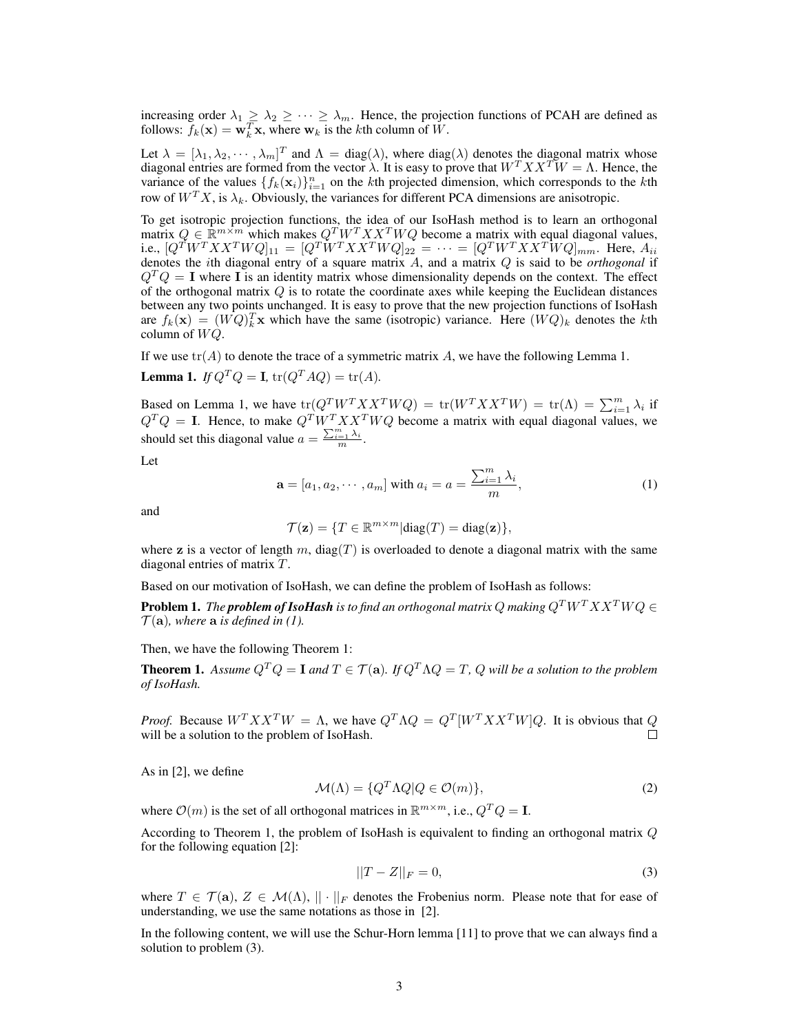increasing order  $\lambda_1 \geq \lambda_2 \geq \cdots \geq \lambda_m$ . Hence, the projection functions of PCAH are defined as follows:  $f_k(\mathbf{x}) = \mathbf{w}_k^T \mathbf{x}$ , where  $\mathbf{w}_k$  is the kth column of  $\tilde{W}$ .

Let  $\lambda = [\lambda_1, \lambda_2, \cdots, \lambda_m]^T$  and  $\Lambda = \text{diag}(\lambda)$ , where  $\text{diag}(\lambda)$  denotes the diagonal matrix whose diagonal entries are formed from the vector  $\lambda$ . It is easy to prove that  $W^T X X^T W = \Lambda$ . Hence, the variance of the values  $\{f_k(\mathbf{x}_i)\}_{i=1}^n$  on the kth projected dimension, which corresponds to the kth row of  $W^T X$ , is  $\lambda_k$ . Obviously, the variances for different PCA dimensions are anisotropic.

To get isotropic projection functions, the idea of our IsoHash method is to learn an orthogonal matrix  $Q \in \mathbb{R}^{m \times m}$  which makes  $Q^T W^T X X^T W Q$  become a matrix with equal diagonal values, i.e.,  $[Q^T W^T X X^T W Q]_{11} = [Q^T W^T X X^T W Q]_{22} = \cdots = [Q^T W^T X X^T W Q]_{mm}$ . Here,  $A_{ii}$ denotes the ith diagonal entry of a square matrix A, and a matrix Q is said to be *orthogonal* if  $Q^T Q = I$  where I is an identity matrix whose dimensionality depends on the context. The effect of the orthogonal matrix  $Q$  is to rotate the coordinate axes while keeping the Euclidean distances between any two points unchanged. It is easy to prove that the new projection functions of IsoHash are  $f_k(\mathbf{x}) = (WQ)_k^T \mathbf{x}$  which have the same (isotropic) variance. Here  $(WQ)_k$  denotes the kth column of  $WQ$ .

If we use  $tr(A)$  to denote the trace of a symmetric matrix A, we have the following Lemma 1. **Lemma 1.** *If*  $Q^T Q = I$ ,  $tr(Q^T A Q) = tr(A)$ .

Based on Lemma 1, we have  $tr(Q^T W^T X X^T W Q) = tr(W^T X X^T W) = tr(\Lambda) = \sum_{i=1}^m \lambda_i$  if  $Q^T Q = I$ . Hence, to make  $Q^T W^T X X^T W Q$  become a matrix with equal diagonal values, we should set this diagonal value  $a = \frac{\sum_{i=1}^{m} \lambda_i}{m}$ .

Let

$$
\mathbf{a} = [a_1, a_2, \cdots, a_m] \text{ with } a_i = a = \frac{\sum_{i=1}^m \lambda_i}{m},
$$
 (1)

and

$$
\mathcal{T}(\mathbf{z}) = \{ T \in \mathbb{R}^{m \times m} | \text{diag}(T) = \text{diag}(\mathbf{z}) \},
$$

where z is a vector of length m,  $diag(T)$  is overloaded to denote a diagonal matrix with the same diagonal entries of matrix T.

Based on our motivation of IsoHash, we can define the problem of IsoHash as follows:

**Problem 1.** *The problem of IsoHash is to find an orthogonal matrix Q making*  $Q^T W^T X X^T W Q \in$  $\mathcal{T}(\mathbf{a})$ , where **a** is defined in (1).

Then, we have the following Theorem 1:

**Theorem 1.** Assume  $Q^T Q = I$  and  $T \in \mathcal{T}(\mathbf{a})$ . If  $Q^T \Lambda Q = T$ , Q will be a solution to the problem *of IsoHash.*

*Proof.* Because  $W^T X X^T W = \Lambda$ , we have  $Q^T \Lambda Q = Q^T [W^T X X^T W] Q$ . It is obvious that Q will be a solution to the problem of IsoHash.

As in [2], we define

$$
\mathcal{M}(\Lambda) = \{ Q^T \Lambda Q | Q \in \mathcal{O}(m) \},\tag{2}
$$

where  $\mathcal{O}(m)$  is the set of all orthogonal matrices in  $\mathbb{R}^{m \times m}$ , i.e.,  $Q^T Q = \mathbf{I}$ .

According to Theorem 1, the problem of IsoHash is equivalent to finding an orthogonal matrix  $Q$ for the following equation [2]:

$$
||T - Z||_F = 0,
$$
\n(3)

where  $T \in \mathcal{T}(\mathbf{a}), Z \in \mathcal{M}(\Lambda), ||\cdot||_F$  denotes the Frobenius norm. Please note that for ease of understanding, we use the same notations as those in [2].

In the following content, we will use the Schur-Horn lemma [11] to prove that we can always find a solution to problem (3).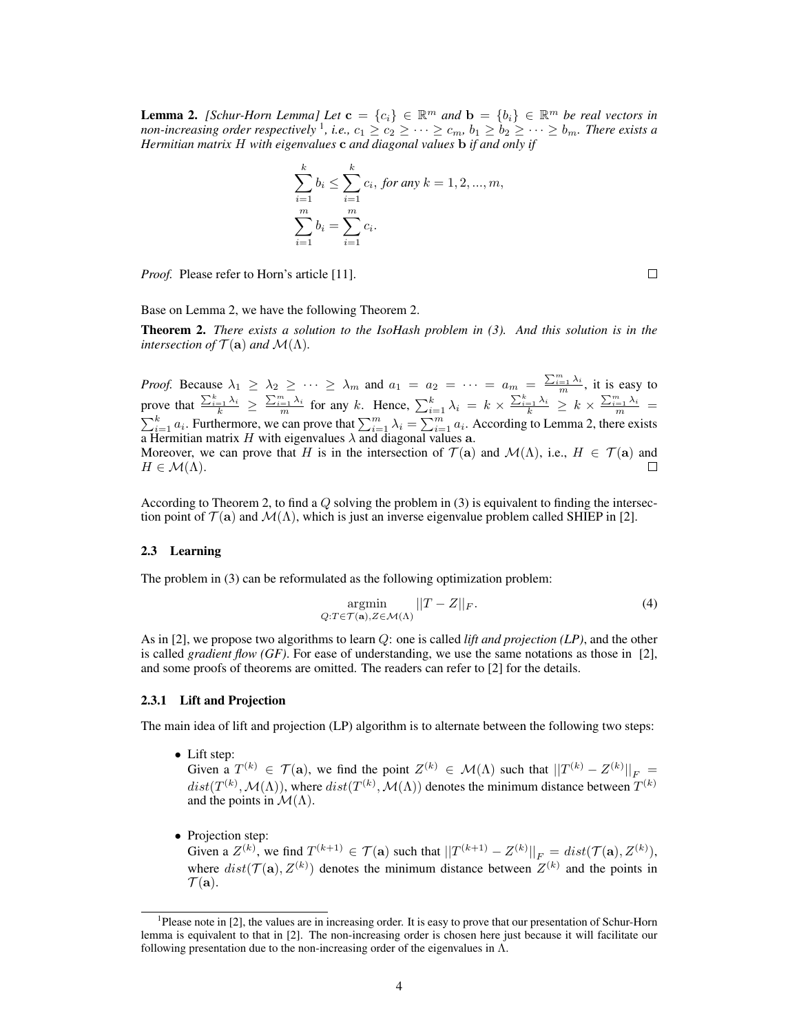**Lemma 2.** *[Schur-Horn Lemma] Let*  $\mathbf{c} = \{c_i\} \in \mathbb{R}^m$  and  $\mathbf{b} = \{b_i\} \in \mathbb{R}^m$  be real vectors in non-increasing order respectively <sup>1</sup>, i.e.,  $c_1 \geq c_2 \geq \cdots \geq c_m$ ,  $b_1 \geq b_2 \geq \cdots \geq b_m$ . There exists a *Hermitian matrix* H *with eigenvalues* c *and diagonal values* b *if and only if*

$$
\sum_{i=1}^{k} b_i \le \sum_{i=1}^{k} c_i, \text{ for any } k = 1, 2, ..., m,
$$
  

$$
\sum_{i=1}^{m} b_i = \sum_{i=1}^{m} c_i.
$$

*Proof.* Please refer to Horn's article [11].

 $\Box$ 

Base on Lemma 2, we have the following Theorem 2.

Theorem 2. *There exists a solution to the IsoHash problem in (3). And this solution is in the intersection of*  $\mathcal{T}(\mathbf{a})$  *and*  $\mathcal{M}(\Lambda)$ *.* 

*Proof.* Because  $\lambda_1 \geq \lambda_2 \geq \cdots \geq \lambda_m$  and  $a_1 = a_2 = \cdots = a_m = \frac{\sum_{i=1}^m \lambda_i}{m}$ , it is easy to prove that  $\frac{\sum_{i=1}^k \lambda_i}{k} \ge \frac{\sum_{i=1}^m \lambda_i}{m}$  for any k. Hence,  $\sum_{i=1}^k \lambda_i = k \times \frac{\sum_{i=1}^k \lambda_i}{k} \ge k \times \frac{\sum_{i=1}^m \lambda_i}{m}$  $\sum_{i=1}^k a_i$ . Furthermore, we can prove that  $\sum_{i=1}^m \lambda_i = \sum_{i=1}^m a_i$ . According to Lemma 2, there exists a Hermitian matrix H with eigenvalues  $\lambda$  and diagonal values a. Moreover, we can prove that H is in the intersection of  $\mathcal{T}(\mathbf{a})$  and  $\mathcal{M}(\Lambda)$ , i.e.,  $H \in \mathcal{T}(\mathbf{a})$  and  $H \in \mathcal{M}(\Lambda)$ . П

According to Theorem 2, to find a  $Q$  solving the problem in (3) is equivalent to finding the intersection point of  $\mathcal{T}(\mathbf{a})$  and  $\mathcal{M}(\Lambda)$ , which is just an inverse eigenvalue problem called SHIEP in [2].

#### 2.3 Learning

The problem in (3) can be reformulated as the following optimization problem:

$$
\underset{Q:T \in \mathcal{T}(\mathbf{a}), Z \in \mathcal{M}(\Lambda)}{\operatorname{argmin}} ||T - Z||_F. \tag{4}
$$

As in [2], we propose two algorithms to learn Q: one is called *lift and projection (LP)*, and the other is called *gradient flow (GF)*. For ease of understanding, we use the same notations as those in [2], and some proofs of theorems are omitted. The readers can refer to [2] for the details.

#### 2.3.1 Lift and Projection

The main idea of lift and projection (LP) algorithm is to alternate between the following two steps:

• Lift step:

Given a  $T^{(k)} \in \mathcal{T}(\mathbf{a})$ , we find the point  $Z^{(k)} \in \mathcal{M}(\Lambda)$  such that  $||T^{(k)} - Z^{(k)}||_F =$  $dist(T^{(k)}, \mathcal{M}(\Lambda))$ , where  $dist(T^{(k)}, \mathcal{M}(\Lambda))$  denotes the minimum distance between  $T^{(k)}$ and the points in  $\mathcal{M}(\Lambda)$ .

• Projection step:

Given a  $Z^{(k)}$ , we find  $T^{(k+1)} \in \mathcal{T}(\mathbf{a})$  such that  $||T^{(k+1)} - Z^{(k)}||_F = dist(\mathcal{T}(\mathbf{a}), Z^{(k)}),$ where  $dist(\mathcal{T}(\mathbf{a}), Z^{(k)})$  denotes the minimum distance between  $Z^{(k)}$  and the points in  $\mathcal{T}(\mathbf{a}).$ 

<sup>&</sup>lt;sup>1</sup>Please note in [2], the values are in increasing order. It is easy to prove that our presentation of Schur-Horn lemma is equivalent to that in [2]. The non-increasing order is chosen here just because it will facilitate our following presentation due to the non-increasing order of the eigenvalues in  $\Lambda$ .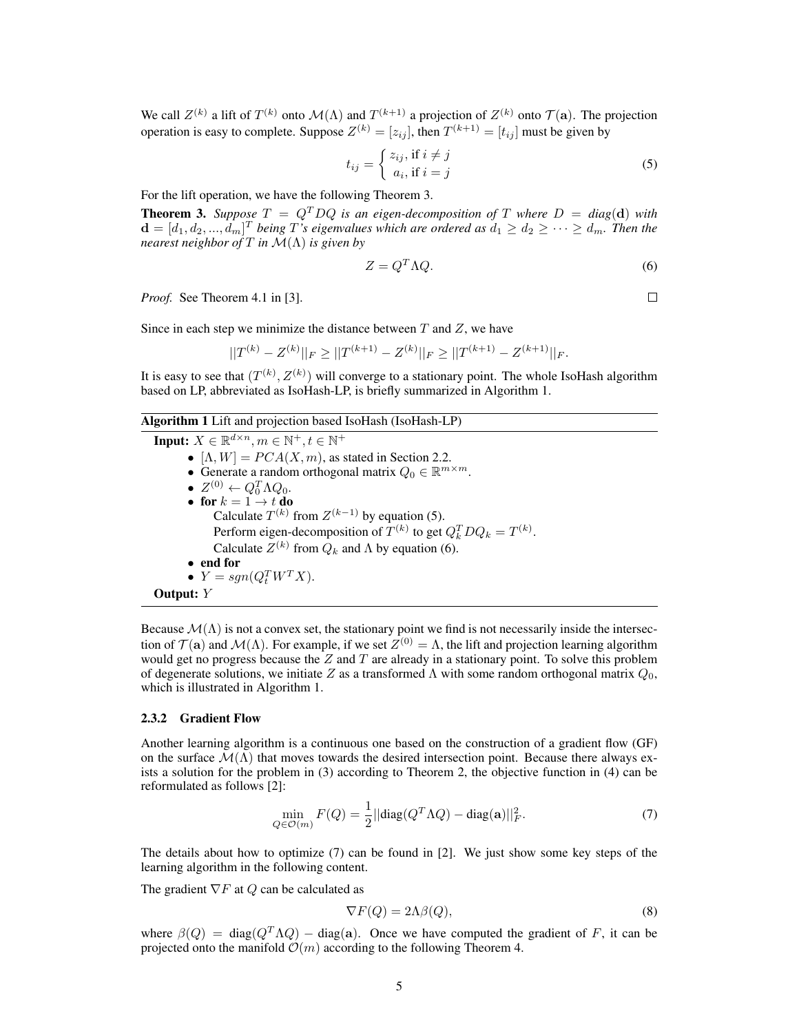We call  $Z^{(k)}$  a lift of  $T^{(k)}$  onto  $\mathcal{M}(\Lambda)$  and  $T^{(k+1)}$  a projection of  $Z^{(k)}$  onto  $\mathcal{T}(\mathbf{a})$ . The projection operation is easy to complete. Suppose  $Z^{(k)} = [z_{ij}]$ , then  $T^{(k+1)} = [t_{ij}]$  must be given by

$$
t_{ij} = \begin{cases} z_{ij}, \text{if } i \neq j \\ a_i, \text{if } i = j \end{cases}
$$
 (5)

For the lift operation, we have the following Theorem 3.

**Theorem 3.** Suppose  $T = Q^T D Q$  is an eigen-decomposition of T where  $D = diag(d)$  with  $\mathbf{d} = [d_1, d_2, ..., \hat{d}_m]^T$  being T's eigenvalues which are ordered as  $d_1 \geq d_2 \geq \cdots \geq d_m$ . Then the *nearest neighbor of* T *in* M(Λ) *is given by*

$$
Z = Q^T \Lambda Q. \tag{6}
$$

 $\Box$ 

*Proof.* See Theorem 4.1 in [3].

Since in each step we minimize the distance between  $T$  and  $Z$ , we have

$$
||T^{(k)} - Z^{(k)}||_F \ge ||T^{(k+1)} - Z^{(k)}||_F \ge ||T^{(k+1)} - Z^{(k+1)}||_F.
$$

It is easy to see that  $(T^{(k)}, Z^{(k)})$  will converge to a stationary point. The whole IsoHash algorithm based on LP, abbreviated as IsoHash-LP, is briefly summarized in Algorithm 1.

#### Algorithm 1 Lift and projection based IsoHash (IsoHash-LP)

Input:  $X \in \mathbb{R}^{d \times n}$ ,  $m \in \mathbb{N}^+, t \in \mathbb{N}^+$ •  $[\Lambda, W] = PCA(X, m)$ , as stated in Section 2.2. • Generate a random orthogonal matrix  $Q_0 \in \mathbb{R}^{m \times m}$ . •  $Z^{(0)} \leftarrow Q_0^T \Lambda Q_0.$ • for  $k = 1 \rightarrow t$  do Calculate  $T^{(k)}$  from  $Z^{(k-1)}$  by equation (5). Perform eigen-decomposition of  $T^{(k)}$  to get  $Q_k^T D Q_k = T^{(k)}$ . Calculate  $Z^{(k)}$  from  $Q_k$  and  $\Lambda$  by equation (6). • end for •  $Y = sgn(Q_t^T W^T X).$ Output: Y

Because  $\mathcal{M}(\Lambda)$  is not a convex set, the stationary point we find is not necessarily inside the intersection of  $\mathcal{T}(\mathbf{a})$  and  $\mathcal{M}(\Lambda)$ . For example, if we set  $Z^{(0)} = \Lambda$ , the lift and projection learning algorithm would get no progress because the  $Z$  and  $T$  are already in a stationary point. To solve this problem of degenerate solutions, we initiate Z as a transformed  $\Lambda$  with some random orthogonal matrix  $Q_0$ , which is illustrated in Algorithm 1.

#### 2.3.2 Gradient Flow

Another learning algorithm is a continuous one based on the construction of a gradient flow (GF) on the surface  $\mathcal{M}(\Lambda)$  that moves towards the desired intersection point. Because there always exists a solution for the problem in (3) according to Theorem 2, the objective function in (4) can be reformulated as follows [2]:

$$
\min_{Q \in \mathcal{O}(m)} F(Q) = \frac{1}{2} || \text{diag}(Q^T \Lambda Q) - \text{diag}(\mathbf{a}) ||_F^2. \tag{7}
$$

The details about how to optimize (7) can be found in [2]. We just show some key steps of the learning algorithm in the following content.

The gradient  $\nabla F$  at Q can be calculated as

$$
\nabla F(Q) = 2\Lambda \beta(Q),\tag{8}
$$

where  $\beta(Q) = \text{diag}(Q^T \Lambda Q) - \text{diag}(\mathbf{a})$ . Once we have computed the gradient of F, it can be projected onto the manifold  $\mathcal{O}(m)$  according to the following Theorem 4.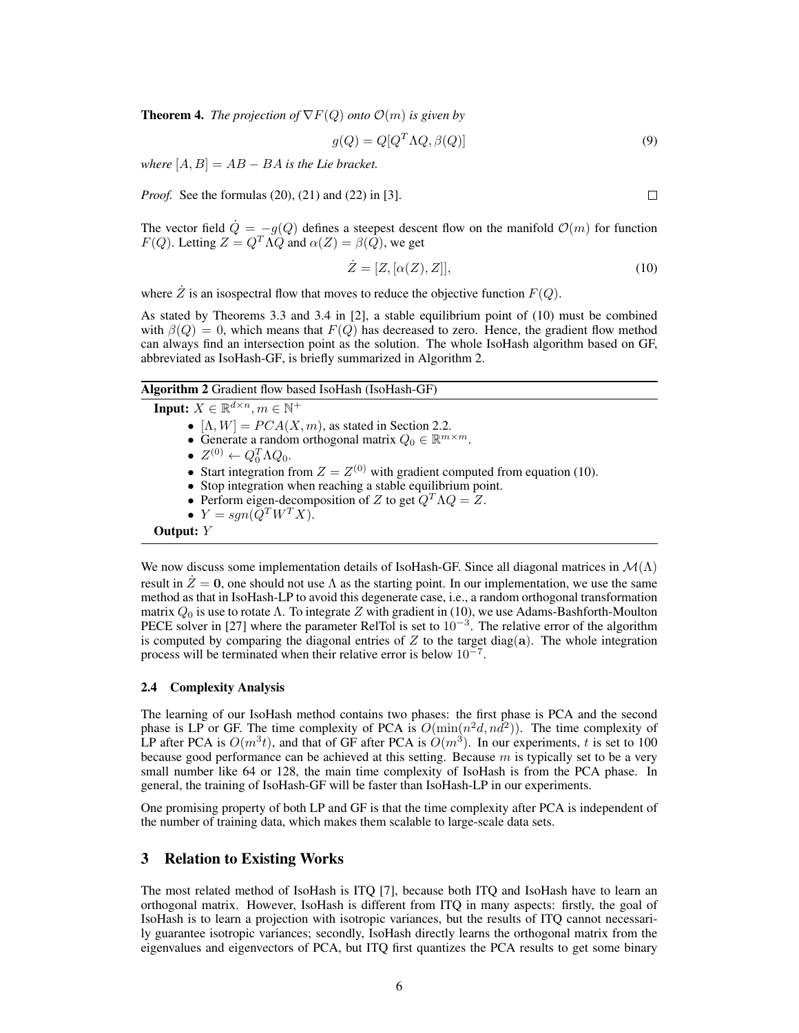**Theorem 4.** *The projection of*  $\nabla F(Q)$  *onto*  $\mathcal{O}(m)$  *is given by* 

$$
g(Q) = Q[Q^T \Lambda Q, \beta(Q)] \tag{9}
$$

*where*  $[A, B] = AB - BA$  *is the Lie bracket.* 

*Proof.* See the formulas (20), (21) and (22) in [3].

The vector field  $\dot{Q} = -g(Q)$  defines a steepest descent flow on the manifold  $\mathcal{O}(m)$  for function  $F(Q)$ . Letting  $Z = Q^T \Lambda Q$  and  $\alpha(Z) = \beta(Q)$ , we get

$$
\dot{Z} = [Z, [\alpha(Z), Z]], \qquad (10)
$$

where  $\dot{Z}$  is an isospectral flow that moves to reduce the objective function  $F(Q)$ .

As stated by Theorems 3.3 and 3.4 in [2], a stable equilibrium point of (10) must be combined with  $\beta(Q) = 0$ , which means that  $F(Q)$  has decreased to zero. Hence, the gradient flow method can always find an intersection point as the solution. The whole IsoHash algorithm based on GF, abbreviated as IsoHash-GF, is briefly summarized in Algorithm 2.

## Algorithm 2 Gradient flow based IsoHash (IsoHash-GF)

Input:  $X \in \mathbb{R}^{d \times n}$ ,  $m \in \mathbb{N}^+$ •  $[\Lambda, W] = PCA(X, m)$ , as stated in Section 2.2. • Generate a random orthogonal matrix  $Q_0 \in \mathbb{R}^{m \times m}$ . •  $Z^{(0)} \leftarrow Q_0^T \Lambda Q_0.$ • Start integration from  $Z = Z^{(0)}$  with gradient computed from equation (10). • Stop integration when reaching a stable equilibrium point. • Perform eigen-decomposition of Z to get  $Q^T \Lambda Q = Z$ . •  $Y = sgn(Q^T W^T X)$ . Output: Y

We now discuss some implementation details of IsoHash-GF. Since all diagonal matrices in  $\mathcal{M}(\Lambda)$ result in  $\ddot{Z} = 0$ , one should not use  $\Lambda$  as the starting point. In our implementation, we use the same method as that in IsoHash-LP to avoid this degenerate case, i.e., a random orthogonal transformation matrix  $Q_0$  is use to rotate  $\Lambda$ . To integrate Z with gradient in (10), we use Adams-Bashforth-Moulton PECE solver in [27] where the parameter RelTol is set to  $10^{-3}$ . The relative error of the algorithm is computed by comparing the diagonal entries of  $Z$  to the target diag(a). The whole integration process will be terminated when their relative error is below  $10^{-7}$ .

#### 2.4 Complexity Analysis

The learning of our IsoHash method contains two phases: the first phase is PCA and the second phase is LP or GF. The time complexity of PCA is  $O(\min(n^2d, nd^2))$ . The time complexity of LP after PCA is  $O(m^3t)$ , and that of GF after PCA is  $O(m^3)$ . In our experiments, t is set to 100 because good performance can be achieved at this setting. Because  $m$  is typically set to be a very small number like 64 or 128, the main time complexity of IsoHash is from the PCA phase. In general, the training of IsoHash-GF will be faster than IsoHash-LP in our experiments.

One promising property of both LP and GF is that the time complexity after PCA is independent of the number of training data, which makes them scalable to large-scale data sets.

# 3 Relation to Existing Works

The most related method of IsoHash is ITQ [7], because both ITQ and IsoHash have to learn an orthogonal matrix. However, IsoHash is different from ITQ in many aspects: firstly, the goal of IsoHash is to learn a projection with isotropic variances, but the results of ITQ cannot necessarily guarantee isotropic variances; secondly, IsoHash directly learns the orthogonal matrix from the eigenvalues and eigenvectors of PCA, but ITQ first quantizes the PCA results to get some binary

 $\Box$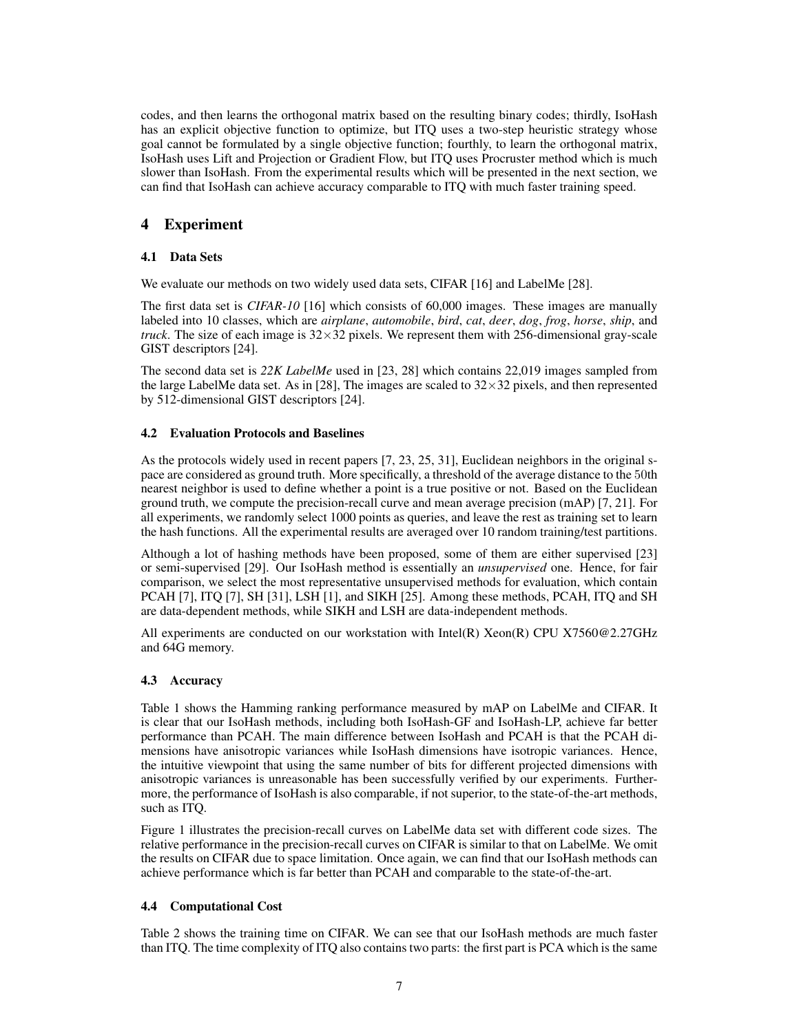codes, and then learns the orthogonal matrix based on the resulting binary codes; thirdly, IsoHash has an explicit objective function to optimize, but ITQ uses a two-step heuristic strategy whose goal cannot be formulated by a single objective function; fourthly, to learn the orthogonal matrix, IsoHash uses Lift and Projection or Gradient Flow, but ITQ uses Procruster method which is much slower than IsoHash. From the experimental results which will be presented in the next section, we can find that IsoHash can achieve accuracy comparable to ITQ with much faster training speed.

# 4 Experiment

# 4.1 Data Sets

We evaluate our methods on two widely used data sets, CIFAR [16] and LabelMe [28].

The first data set is *CIFAR-10* [16] which consists of 60,000 images. These images are manually labeled into 10 classes, which are *airplane*, *automobile*, *bird*, *cat*, *deer*, *dog*, *frog*, *horse*, *ship*, and *truck*. The size of each image is  $32 \times 32$  pixels. We represent them with 256-dimensional gray-scale GIST descriptors [24].

The second data set is *22K LabelMe* used in [23, 28] which contains 22,019 images sampled from the large LabelMe data set. As in [28], The images are scaled to  $32 \times 32$  pixels, and then represented by 512-dimensional GIST descriptors [24].

# 4.2 Evaluation Protocols and Baselines

As the protocols widely used in recent papers [7, 23, 25, 31], Euclidean neighbors in the original space are considered as ground truth. More specifically, a threshold of the average distance to the 50th nearest neighbor is used to define whether a point is a true positive or not. Based on the Euclidean ground truth, we compute the precision-recall curve and mean average precision (mAP) [7, 21]. For all experiments, we randomly select 1000 points as queries, and leave the rest as training set to learn the hash functions. All the experimental results are averaged over 10 random training/test partitions.

Although a lot of hashing methods have been proposed, some of them are either supervised [23] or semi-supervised [29]. Our IsoHash method is essentially an *unsupervised* one. Hence, for fair comparison, we select the most representative unsupervised methods for evaluation, which contain PCAH [7], ITQ [7], SH [31], LSH [1], and SIKH [25]. Among these methods, PCAH, ITQ and SH are data-dependent methods, while SIKH and LSH are data-independent methods.

All experiments are conducted on our workstation with Intel(R) Xeon(R) CPU X7560@2.27GHz and 64G memory.

# 4.3 Accuracy

Table 1 shows the Hamming ranking performance measured by mAP on LabelMe and CIFAR. It is clear that our IsoHash methods, including both IsoHash-GF and IsoHash-LP, achieve far better performance than PCAH. The main difference between IsoHash and PCAH is that the PCAH dimensions have anisotropic variances while IsoHash dimensions have isotropic variances. Hence, the intuitive viewpoint that using the same number of bits for different projected dimensions with anisotropic variances is unreasonable has been successfully verified by our experiments. Furthermore, the performance of IsoHash is also comparable, if not superior, to the state-of-the-art methods, such as ITQ.

Figure 1 illustrates the precision-recall curves on LabelMe data set with different code sizes. The relative performance in the precision-recall curves on CIFAR is similar to that on LabelMe. We omit the results on CIFAR due to space limitation. Once again, we can find that our IsoHash methods can achieve performance which is far better than PCAH and comparable to the state-of-the-art.

### 4.4 Computational Cost

Table 2 shows the training time on CIFAR. We can see that our IsoHash methods are much faster than ITQ. The time complexity of ITQ also contains two parts: the first part is PCA which is the same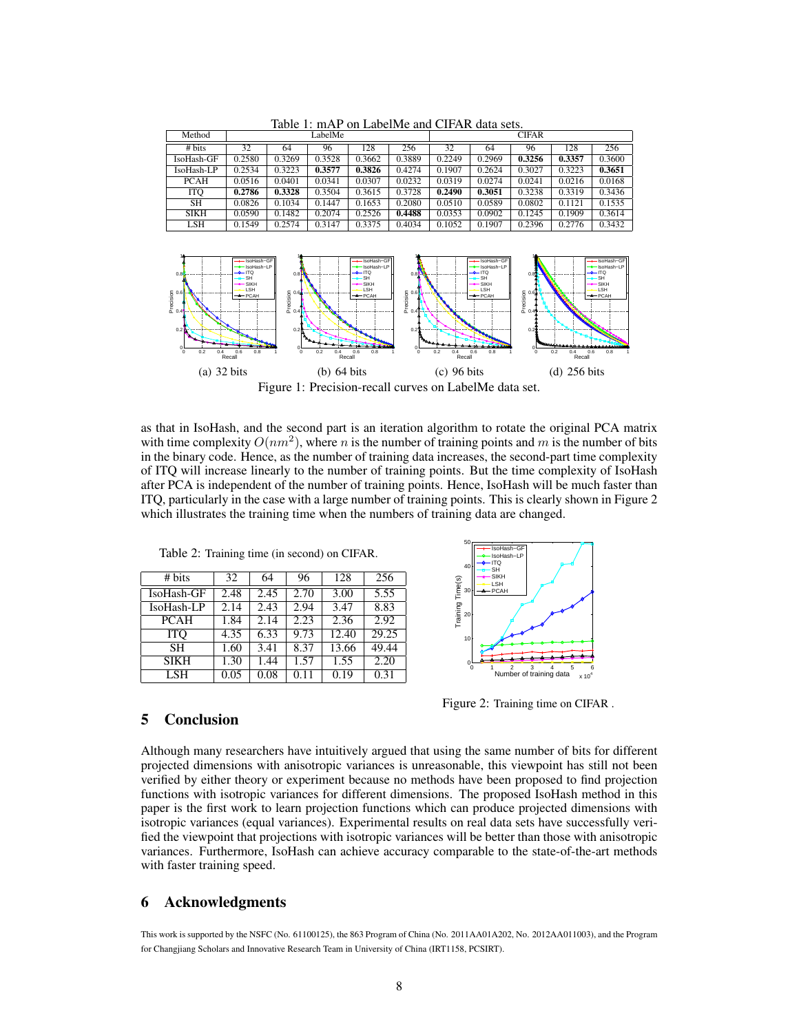| Tuoto 1, mi n-on-puovinto unu on rin uutu sots. |         |        |        |        |        |              |        |        |        |        |  |  |
|-------------------------------------------------|---------|--------|--------|--------|--------|--------------|--------|--------|--------|--------|--|--|
| Method                                          | LabelMe |        |        |        |        | <b>CIFAR</b> |        |        |        |        |  |  |
| # bits                                          | 32      | 64     | 96     | 128    | 256    | 32           | 64     | 96     | 128    | 256    |  |  |
| IsoHash-GF                                      | 0.2580  | 0.3269 | 0.3528 | 0.3662 | 0.3889 | 0.2249       | 0.2969 | 0.3256 | 0.3357 | 0.3600 |  |  |
| IsoHash-LP                                      | 0.2534  | 0.3223 | 0.3577 | 0.3826 | 0.4274 | 0.1907       | 0.2624 | 0.3027 | 0.3223 | 0.3651 |  |  |
| <b>PCAH</b>                                     | 0.0516  | 0.0401 | 0.0341 | 0.0307 | 0.0232 | 0.0319       | 0.0274 | 0.0241 | 0.0216 | 0.0168 |  |  |
| <b>ITO</b>                                      | 0.2786  | 0.3328 | 0.3504 | 0.3615 | 0.3728 | 0.2490       | 0.3051 | 0.3238 | 0.3319 | 0.3436 |  |  |
| SH                                              | 0.0826  | 0.1034 | 0.1447 | 0.1653 | 0.2080 | 0.0510       | 0.0589 | 0.0802 | 0.1121 | 0.1535 |  |  |
| <b>SIKH</b>                                     | 0.0590  | 0.1482 | 0.2074 | 0.2526 | 0.4488 | 0.0353       | 0.0902 | 0.1245 | 0.1909 | 0.3614 |  |  |
| <b>LSH</b>                                      | 0.1549  | 0.2574 | 0.3147 | 0.3375 | 0.4034 | 0.1052       | 0.1907 | 0.2396 | 0.2776 | 0.3432 |  |  |

Table 1: mAP on LabelMe and CIFAR data sets.



Figure 1: Precision-recall curves on LabelMe data set.

as that in IsoHash, and the second part is an iteration algorithm to rotate the original PCA matrix with time complexity  $O(nm^2)$ , where n is the number of training points and m is the number of bits in the binary code. Hence, as the number of training data increases, the second-part time complexity of ITQ will increase linearly to the number of training points. But the time complexity of IsoHash after PCA is independent of the number of training points. Hence, IsoHash will be much faster than ITQ, particularly in the case with a large number of training points. This is clearly shown in Figure 2 which illustrates the training time when the numbers of training data are changed.

| # bits      | 32   | 64   | 96   | 128   | 256   |
|-------------|------|------|------|-------|-------|
| IsoHash-GF  | 2.48 | 2.45 | 2.70 | 3.00  | 5.55  |
| IsoHash-LP  | 2.14 | 2.43 | 2.94 | 3.47  | 8.83  |
| <b>PCAH</b> | 1.84 | 2.14 | 2.23 | 2.36  | 2.92  |
| <b>ITO</b>  | 4.35 | 6.33 | 9.73 | 12.40 | 29.25 |
| <b>SH</b>   | 1.60 | 3.41 | 8.37 | 13.66 | 49.44 |
| <b>SIKH</b> | 1.30 | 1.44 | 1.57 | 1.55  | 2.20  |
| LSH.        | 0.05 | 0.08 | 0.11 | 0.19  | 0.31  |

Table 2: Training time (in second) on CIFAR.



Figure 2: Training time on CIFAR .

# 5 Conclusion

Although many researchers have intuitively argued that using the same number of bits for different projected dimensions with anisotropic variances is unreasonable, this viewpoint has still not been verified by either theory or experiment because no methods have been proposed to find projection functions with isotropic variances for different dimensions. The proposed IsoHash method in this paper is the first work to learn projection functions which can produce projected dimensions with isotropic variances (equal variances). Experimental results on real data sets have successfully verified the viewpoint that projections with isotropic variances will be better than those with anisotropic variances. Furthermore, IsoHash can achieve accuracy comparable to the state-of-the-art methods with faster training speed.

# 6 Acknowledgments

This work is supported by the NSFC (No. 61100125), the 863 Program of China (No. 2011AA01A202, No. 2012AA011003), and the Program for Changjiang Scholars and Innovative Research Team in University of China (IRT1158, PCSIRT).